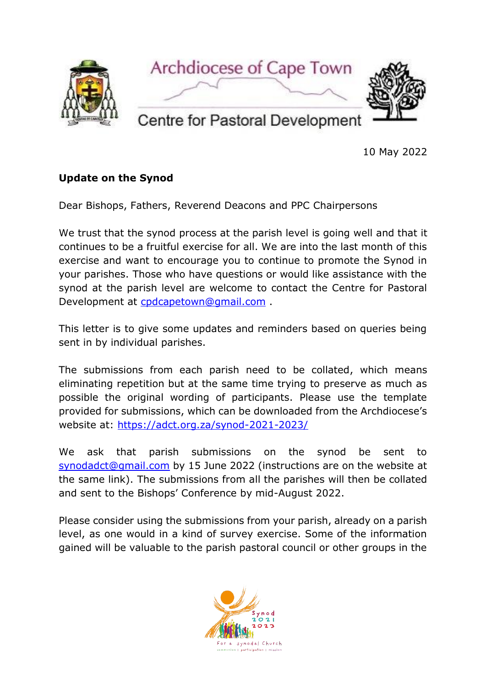

10 May 2022

## **Update on the Synod**

Dear Bishops, Fathers, Reverend Deacons and PPC Chairpersons

We trust that the synod process at the parish level is going well and that it continues to be a fruitful exercise for all. We are into the last month of this exercise and want to encourage you to continue to promote the Synod in your parishes. Those who have questions or would like assistance with the synod at the parish level are welcome to contact the Centre for Pastoral Development at [cpdcapetown@gmail.com](mailto:cpdcapetown@gmail.com) .

This letter is to give some updates and reminders based on queries being sent in by individual parishes.

The submissions from each parish need to be collated, which means eliminating repetition but at the same time trying to preserve as much as possible the original wording of participants. Please use the template provided for submissions, which can be downloaded from the Archdiocese's website at: <https://adct.org.za/synod-2021-2023/>

We ask that parish submissions on the synod be sent to [synodadct@gmail.com](mailto:synodadct@gmail.com) by 15 June 2022 (instructions are on the website at the same link). The submissions from all the parishes will then be collated and sent to the Bishops' Conference by mid-August 2022.

Please consider using the submissions from your parish, already on a parish level, as one would in a kind of survey exercise. Some of the information gained will be valuable to the parish pastoral council or other groups in the